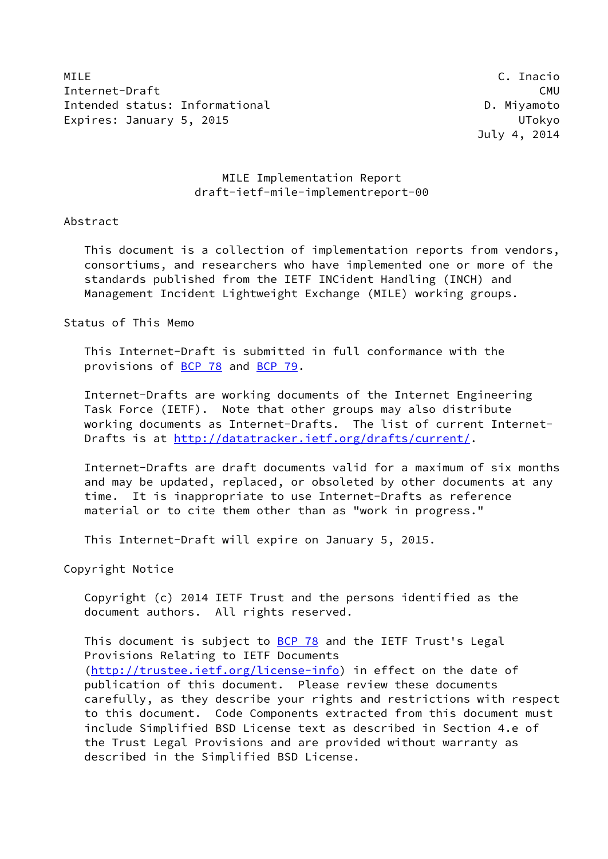MILE C. Inacio Internet-Draft CMU Intended status: Informational department of the D. Miyamoto Expires: January 5, 2015 **UTokyo** 

## MILE Implementation Report draft-ietf-mile-implementreport-00

#### Abstract

 This document is a collection of implementation reports from vendors, consortiums, and researchers who have implemented one or more of the standards published from the IETF INCident Handling (INCH) and Management Incident Lightweight Exchange (MILE) working groups.

#### Status of This Memo

 This Internet-Draft is submitted in full conformance with the provisions of [BCP 78](https://datatracker.ietf.org/doc/pdf/bcp78) and [BCP 79](https://datatracker.ietf.org/doc/pdf/bcp79).

 Internet-Drafts are working documents of the Internet Engineering Task Force (IETF). Note that other groups may also distribute working documents as Internet-Drafts. The list of current Internet- Drafts is at<http://datatracker.ietf.org/drafts/current/>.

 Internet-Drafts are draft documents valid for a maximum of six months and may be updated, replaced, or obsoleted by other documents at any time. It is inappropriate to use Internet-Drafts as reference material or to cite them other than as "work in progress."

This Internet-Draft will expire on January 5, 2015.

Copyright Notice

 Copyright (c) 2014 IETF Trust and the persons identified as the document authors. All rights reserved.

This document is subject to **[BCP 78](https://datatracker.ietf.org/doc/pdf/bcp78)** and the IETF Trust's Legal Provisions Relating to IETF Documents [\(http://trustee.ietf.org/license-info](http://trustee.ietf.org/license-info)) in effect on the date of publication of this document. Please review these documents carefully, as they describe your rights and restrictions with respect to this document. Code Components extracted from this document must include Simplified BSD License text as described in Section 4.e of the Trust Legal Provisions and are provided without warranty as described in the Simplified BSD License.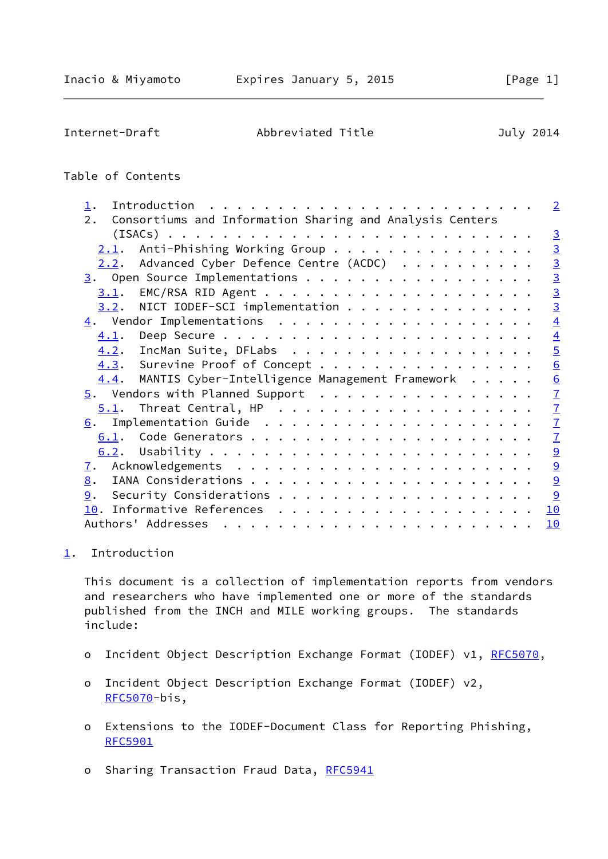<span id="page-1-1"></span>Internet-Draft Abbreviated Title July 2014

## Table of Contents

| $\mathbf 1$ .                                                  |  |  |  | $\overline{2}$        |
|----------------------------------------------------------------|--|--|--|-----------------------|
| Consortiums and Information Sharing and Analysis Centers<br>2. |  |  |  |                       |
|                                                                |  |  |  | $\overline{3}$        |
| Anti-Phishing Working Group<br>2.1.                            |  |  |  |                       |
| Advanced Cyber Defence Centre (ACDC)<br><u>2.2</u> .           |  |  |  | $\frac{3}{3}$         |
|                                                                |  |  |  |                       |
|                                                                |  |  |  |                       |
| $3.2$ . NICT IODEF-SCI implementation                          |  |  |  | $\frac{1}{3}$         |
|                                                                |  |  |  | $\overline{4}$        |
| 4.1.                                                           |  |  |  | $\overline{4}$        |
| 4.2. IncMan Suite, DFLabs                                      |  |  |  | $\overline{5}$        |
| 4.3. Surevine Proof of Concept                                 |  |  |  | $\underline{6}$       |
| MANTIS Cyber-Intelligence Management Framework<br>4.4.         |  |  |  | $\underline{6}$       |
| $\overline{5}$ . Vendors with Planned Support                  |  |  |  | $\overline{1}$        |
|                                                                |  |  |  | $\overline{1}$        |
| 6.                                                             |  |  |  | $\mathbf{Z}$          |
|                                                                |  |  |  | $\overline{1}$        |
|                                                                |  |  |  | $\overline{\partial}$ |
| <u>7</u> .                                                     |  |  |  | $\overline{9}$        |
| 8.                                                             |  |  |  | $\overline{9}$        |
| 9.                                                             |  |  |  | 9                     |
|                                                                |  |  |  | 10                    |
|                                                                |  |  |  | 10                    |

# <span id="page-1-0"></span>[1](#page-1-0). Introduction

 This document is a collection of implementation reports from vendors and researchers who have implemented one or more of the standards published from the INCH and MILE working groups. The standards include:

- o Incident Object Description Exchange Format (IODEF) v1, [RFC5070](https://datatracker.ietf.org/doc/pdf/rfc5070),
- o Incident Object Description Exchange Format (IODEF) v2, [RFC5070](https://datatracker.ietf.org/doc/pdf/rfc5070)-bis,
- o Extensions to the IODEF-Document Class for Reporting Phishing, [RFC5901](https://datatracker.ietf.org/doc/pdf/rfc5901)
- o Sharing Transaction Fraud Data, [RFC5941](https://datatracker.ietf.org/doc/pdf/rfc5941)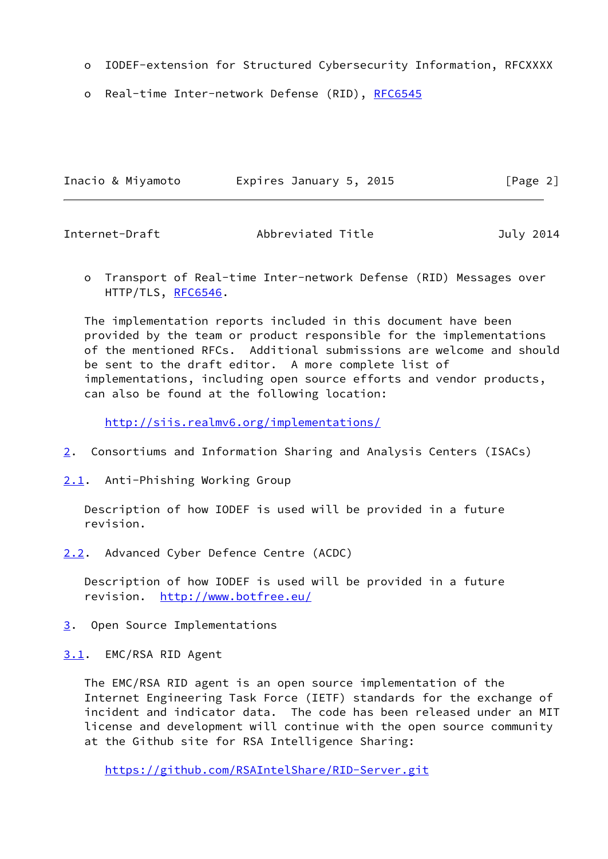- o IODEF-extension for Structured Cybersecurity Information, RFCXXXX
- o Real-time Inter-network Defense (RID), [RFC6545](https://datatracker.ietf.org/doc/pdf/rfc6545)

| Inacio & Miyamoto | Expires January 5, 2015 | [Page 2] |
|-------------------|-------------------------|----------|
|                   |                         |          |

<span id="page-2-0"></span>Internet-Draft Abbreviated Title July 2014

 o Transport of Real-time Inter-network Defense (RID) Messages over HTTP/TLS, [RFC6546](https://datatracker.ietf.org/doc/pdf/rfc6546).

 The implementation reports included in this document have been provided by the team or product responsible for the implementations of the mentioned RFCs. Additional submissions are welcome and should be sent to the draft editor. A more complete list of implementations, including open source efforts and vendor products, can also be found at the following location:

<http://siis.realmv6.org/implementations/>

- <span id="page-2-5"></span>[2](#page-2-5). Consortiums and Information Sharing and Analysis Centers (ISACs)
- <span id="page-2-1"></span>[2.1](#page-2-1). Anti-Phishing Working Group

 Description of how IODEF is used will be provided in a future revision.

<span id="page-2-2"></span>[2.2](#page-2-2). Advanced Cyber Defence Centre (ACDC)

 Description of how IODEF is used will be provided in a future revision. <http://www.botfree.eu/>

- <span id="page-2-3"></span>[3](#page-2-3). Open Source Implementations
- <span id="page-2-4"></span>[3.1](#page-2-4). EMC/RSA RID Agent

 The EMC/RSA RID agent is an open source implementation of the Internet Engineering Task Force (IETF) standards for the exchange of incident and indicator data. The code has been released under an MIT license and development will continue with the open source community at the Github site for RSA Intelligence Sharing:

<https://github.com/RSAIntelShare/RID-Server.git>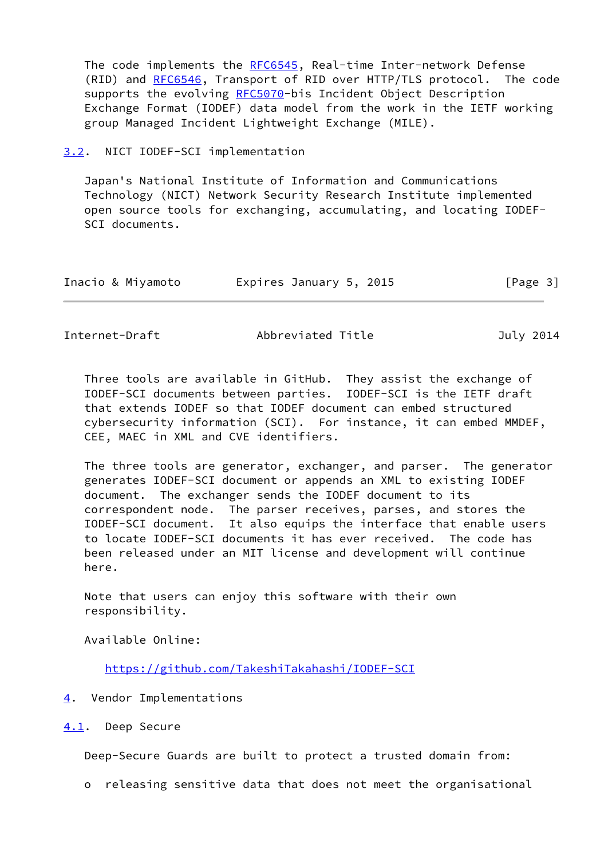The code implements the [RFC6545](https://datatracker.ietf.org/doc/pdf/rfc6545), Real-time Inter-network Defense (RID) and [RFC6546](https://datatracker.ietf.org/doc/pdf/rfc6546), Transport of RID over HTTP/TLS protocol. The code supports the evolving [RFC5070](https://datatracker.ietf.org/doc/pdf/rfc5070)-bis Incident Object Description Exchange Format (IODEF) data model from the work in the IETF working group Managed Incident Lightweight Exchange (MILE).

#### <span id="page-3-0"></span>[3.2](#page-3-0). NICT IODEF-SCI implementation

 Japan's National Institute of Information and Communications Technology (NICT) Network Security Research Institute implemented open source tools for exchanging, accumulating, and locating IODEF- SCI documents.

| Inacio & Miyamoto | Expires January 5, 2015 | [Page 3] |
|-------------------|-------------------------|----------|
|-------------------|-------------------------|----------|

<span id="page-3-2"></span>Internet-Draft Abbreviated Title July 2014

 Three tools are available in GitHub. They assist the exchange of IODEF-SCI documents between parties. IODEF-SCI is the IETF draft that extends IODEF so that IODEF document can embed structured cybersecurity information (SCI). For instance, it can embed MMDEF, CEE, MAEC in XML and CVE identifiers.

 The three tools are generator, exchanger, and parser. The generator generates IODEF-SCI document or appends an XML to existing IODEF document. The exchanger sends the IODEF document to its correspondent node. The parser receives, parses, and stores the IODEF-SCI document. It also equips the interface that enable users to locate IODEF-SCI documents it has ever received. The code has been released under an MIT license and development will continue here.

 Note that users can enjoy this software with their own responsibility.

Available Online:

<https://github.com/TakeshiTakahashi/IODEF-SCI>

- <span id="page-3-1"></span>[4](#page-3-1). Vendor Implementations
- <span id="page-3-3"></span>[4.1](#page-3-3). Deep Secure

Deep-Secure Guards are built to protect a trusted domain from:

o releasing sensitive data that does not meet the organisational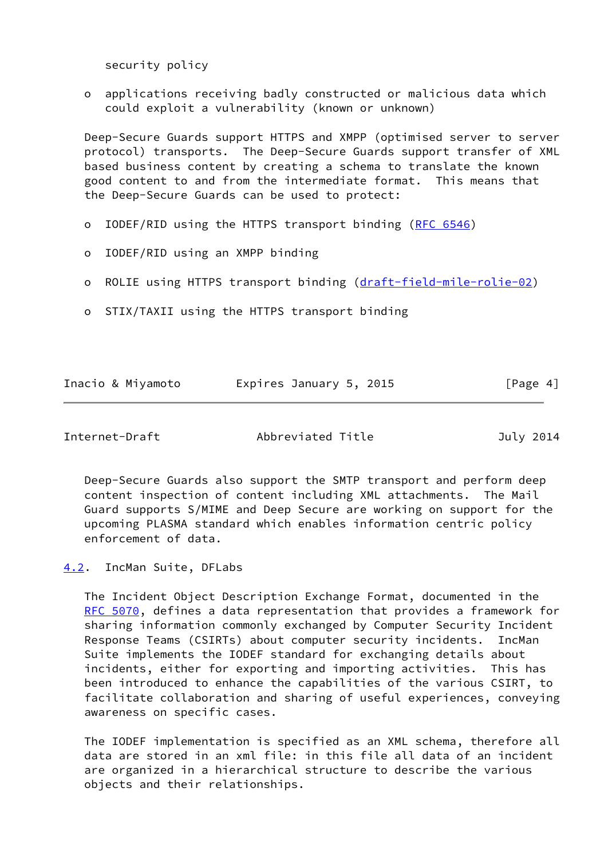security policy

 o applications receiving badly constructed or malicious data which could exploit a vulnerability (known or unknown)

 Deep-Secure Guards support HTTPS and XMPP (optimised server to server protocol) transports. The Deep-Secure Guards support transfer of XML based business content by creating a schema to translate the known good content to and from the intermediate format. This means that the Deep-Secure Guards can be used to protect:

- o IODEF/RID using the HTTPS transport binding [\(RFC 6546](https://datatracker.ietf.org/doc/pdf/rfc6546))
- o IODEF/RID using an XMPP binding
- o ROLIE using HTTPS transport binding [\(draft-field-mile-rolie-02](https://datatracker.ietf.org/doc/pdf/draft-field-mile-rolie-02))
- o STIX/TAXII using the HTTPS transport binding

| Inacio & Miyamoto | Expires January 5, 2015 | [Page 4] |
|-------------------|-------------------------|----------|
|                   |                         |          |

<span id="page-4-1"></span>

| Internet-Draft |  |
|----------------|--|
|----------------|--|

Abbreviated Title **July 2014** 

 Deep-Secure Guards also support the SMTP transport and perform deep content inspection of content including XML attachments. The Mail Guard supports S/MIME and Deep Secure are working on support for the upcoming PLASMA standard which enables information centric policy enforcement of data.

<span id="page-4-0"></span>[4.2](#page-4-0). IncMan Suite, DFLabs

 The Incident Object Description Exchange Format, documented in the [RFC 5070](https://datatracker.ietf.org/doc/pdf/rfc5070), defines a data representation that provides a framework for sharing information commonly exchanged by Computer Security Incident Response Teams (CSIRTs) about computer security incidents. IncMan Suite implements the IODEF standard for exchanging details about incidents, either for exporting and importing activities. This has been introduced to enhance the capabilities of the various CSIRT, to facilitate collaboration and sharing of useful experiences, conveying awareness on specific cases.

 The IODEF implementation is specified as an XML schema, therefore all data are stored in an xml file: in this file all data of an incident are organized in a hierarchical structure to describe the various objects and their relationships.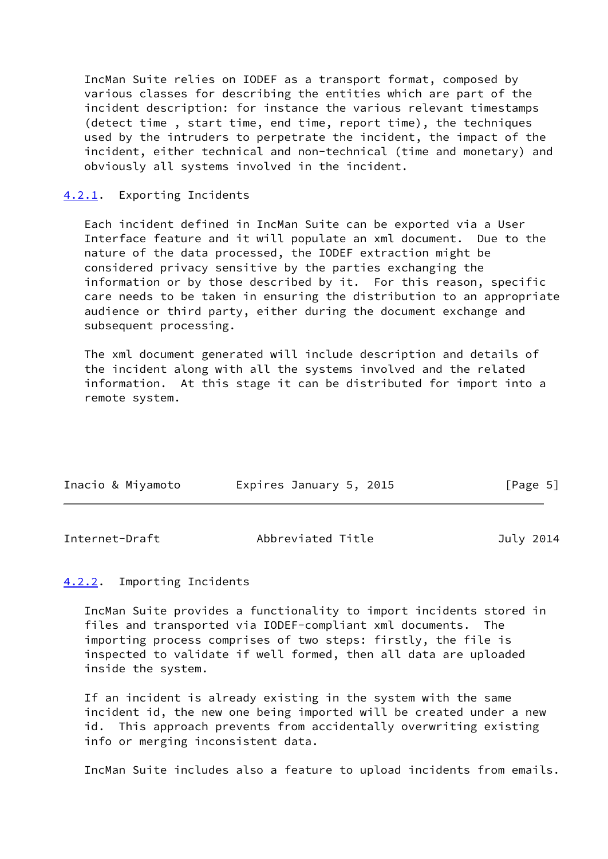IncMan Suite relies on IODEF as a transport format, composed by various classes for describing the entities which are part of the incident description: for instance the various relevant timestamps (detect time , start time, end time, report time), the techniques used by the intruders to perpetrate the incident, the impact of the incident, either technical and non-technical (time and monetary) and obviously all systems involved in the incident.

#### <span id="page-5-1"></span>[4.2.1](#page-5-1). Exporting Incidents

 Each incident defined in IncMan Suite can be exported via a User Interface feature and it will populate an xml document. Due to the nature of the data processed, the IODEF extraction might be considered privacy sensitive by the parties exchanging the information or by those described by it. For this reason, specific care needs to be taken in ensuring the distribution to an appropriate audience or third party, either during the document exchange and subsequent processing.

 The xml document generated will include description and details of the incident along with all the systems involved and the related information. At this stage it can be distributed for import into a remote system.

| Inacio & Miyamoto | Expires January 5, 2015 | [Page 5] |
|-------------------|-------------------------|----------|
|                   |                         |          |

<span id="page-5-0"></span>

| Internet-Draft | Abbreviated Title | July 2014 |
|----------------|-------------------|-----------|
|                |                   |           |

## <span id="page-5-2"></span>[4.2.2](#page-5-2). Importing Incidents

 IncMan Suite provides a functionality to import incidents stored in files and transported via IODEF-compliant xml documents. The importing process comprises of two steps: firstly, the file is inspected to validate if well formed, then all data are uploaded inside the system.

 If an incident is already existing in the system with the same incident id, the new one being imported will be created under a new id. This approach prevents from accidentally overwriting existing info or merging inconsistent data.

IncMan Suite includes also a feature to upload incidents from emails.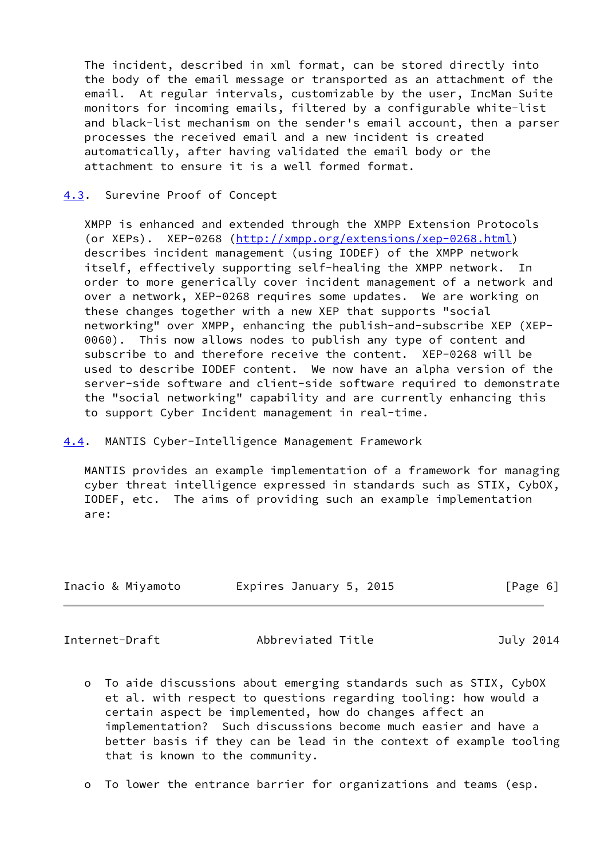The incident, described in xml format, can be stored directly into the body of the email message or transported as an attachment of the email. At regular intervals, customizable by the user, IncMan Suite monitors for incoming emails, filtered by a configurable white-list and black-list mechanism on the sender's email account, then a parser processes the received email and a new incident is created automatically, after having validated the email body or the attachment to ensure it is a well formed format.

#### <span id="page-6-0"></span>[4.3](#page-6-0). Surevine Proof of Concept

 XMPP is enhanced and extended through the XMPP Extension Protocols (or XEPs). XEP-0268 [\(http://xmpp.org/extensions/xep-0268.html](http://xmpp.org/extensions/xep-0268.html)) describes incident management (using IODEF) of the XMPP network itself, effectively supporting self-healing the XMPP network. In order to more generically cover incident management of a network and over a network, XEP-0268 requires some updates. We are working on these changes together with a new XEP that supports "social networking" over XMPP, enhancing the publish-and-subscribe XEP (XEP- 0060). This now allows nodes to publish any type of content and subscribe to and therefore receive the content. XEP-0268 will be used to describe IODEF content. We now have an alpha version of the server-side software and client-side software required to demonstrate the "social networking" capability and are currently enhancing this to support Cyber Incident management in real-time.

### <span id="page-6-1"></span>[4.4](#page-6-1). MANTIS Cyber-Intelligence Management Framework

 MANTIS provides an example implementation of a framework for managing cyber threat intelligence expressed in standards such as STIX, CybOX, IODEF, etc. The aims of providing such an example implementation are:

| Inacio & Miyamoto | Expires January 5, 2015 | [Page 6] |
|-------------------|-------------------------|----------|
|                   |                         |          |

<span id="page-6-2"></span>Internet-Draft Abbreviated Title July 2014

- o To aide discussions about emerging standards such as STIX, CybOX et al. with respect to questions regarding tooling: how would a certain aspect be implemented, how do changes affect an implementation? Such discussions become much easier and have a better basis if they can be lead in the context of example tooling that is known to the community.
- o To lower the entrance barrier for organizations and teams (esp.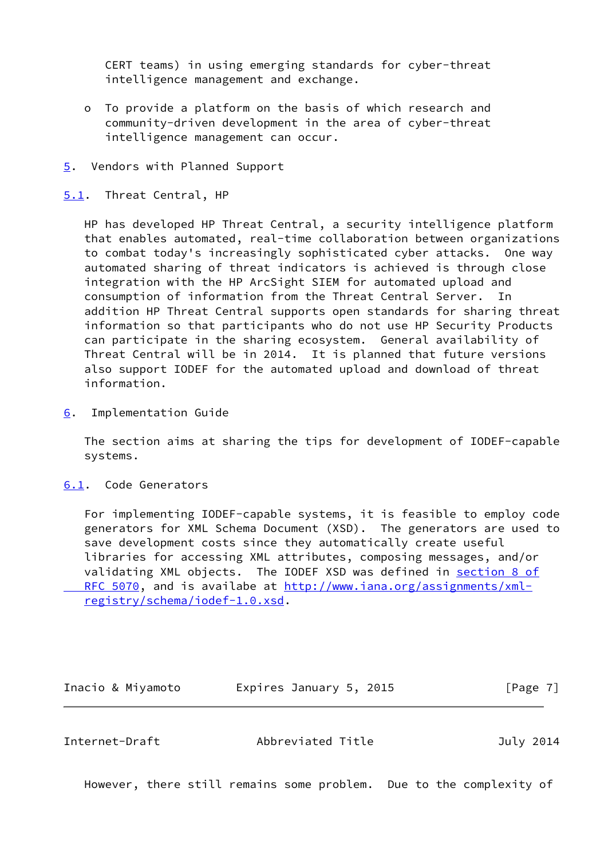CERT teams) in using emerging standards for cyber-threat intelligence management and exchange.

- o To provide a platform on the basis of which research and community-driven development in the area of cyber-threat intelligence management can occur.
- <span id="page-7-0"></span>[5](#page-7-0). Vendors with Planned Support
- <span id="page-7-1"></span>[5.1](#page-7-1). Threat Central, HP

 HP has developed HP Threat Central, a security intelligence platform that enables automated, real-time collaboration between organizations to combat today's increasingly sophisticated cyber attacks. One way automated sharing of threat indicators is achieved is through close integration with the HP ArcSight SIEM for automated upload and consumption of information from the Threat Central Server. In addition HP Threat Central supports open standards for sharing threat information so that participants who do not use HP Security Products can participate in the sharing ecosystem. General availability of Threat Central will be in 2014. It is planned that future versions also support IODEF for the automated upload and download of threat information.

<span id="page-7-2"></span>[6](#page-7-2). Implementation Guide

 The section aims at sharing the tips for development of IODEF-capable systems.

<span id="page-7-3"></span>[6.1](#page-7-3). Code Generators

 For implementing IODEF-capable systems, it is feasible to employ code generators for XML Schema Document (XSD). The generators are used to save development costs since they automatically create useful libraries for accessing XML attributes, composing messages, and/or validating XML objects. The IODEF XSD was defined in [section](https://datatracker.ietf.org/doc/pdf/rfc5070#section-8) 8 of RFC 5070, and is availabe at [http://www.iana.org/assignments/xml](http://www.iana.org/assignments/xml-registry/schema/iodef-1.0.xsd) [registry/schema/iodef-1.0.xsd](http://www.iana.org/assignments/xml-registry/schema/iodef-1.0.xsd).

Inacio & Miyamoto Expires January 5, 2015 [Page 7]

Internet-Draft Abbreviated Title July 2014

However, there still remains some problem. Due to the complexity of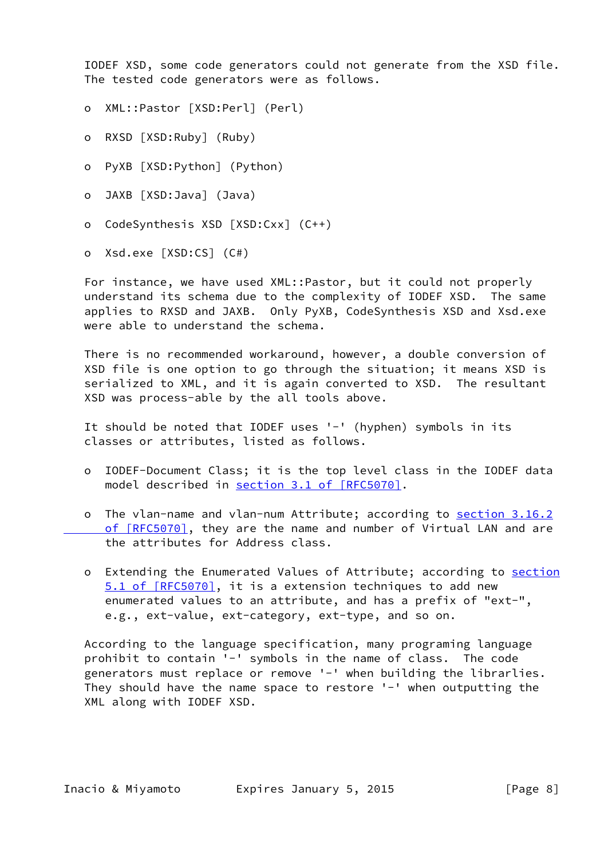IODEF XSD, some code generators could not generate from the XSD file. The tested code generators were as follows.

- o XML::Pastor [XSD:Perl] (Perl)
- o RXSD [XSD:Ruby] (Ruby)
- o PyXB [XSD:Python] (Python)
- o JAXB [XSD:Java] (Java)
- o CodeSynthesis XSD [XSD:Cxx] (C++)
- o Xsd.exe [XSD:CS] (C#)

 For instance, we have used XML::Pastor, but it could not properly understand its schema due to the complexity of IODEF XSD. The same applies to RXSD and JAXB. Only PyXB, CodeSynthesis XSD and Xsd.exe were able to understand the schema.

 There is no recommended workaround, however, a double conversion of XSD file is one option to go through the situation; it means XSD is serialized to XML, and it is again converted to XSD. The resultant XSD was process-able by the all tools above.

 It should be noted that IODEF uses '-' (hyphen) symbols in its classes or attributes, listed as follows.

- o IODEF-Document Class; it is the top level class in the IODEF data model described in section [3.1 of \[RFC5070\]](https://datatracker.ietf.org/doc/pdf/rfc5070#section-3.1).
- o The vlan-name and vlan-num Attribute; according to [section](https://datatracker.ietf.org/doc/pdf/rfc5070#section-3.16.2) 3.16.2 of [RFC5070], they are the name and number of Virtual LAN and are the attributes for Address class.
- o Extending the Enumerated Values of Attribute; according to [section](https://datatracker.ietf.org/doc/pdf/rfc5070#section-5.1) [5.1 of \[RFC5070\],](https://datatracker.ietf.org/doc/pdf/rfc5070#section-5.1) it is a extension techniques to add new enumerated values to an attribute, and has a prefix of "ext-", e.g., ext-value, ext-category, ext-type, and so on.

 According to the language specification, many programing language prohibit to contain '-' symbols in the name of class. The code generators must replace or remove '-' when building the librarlies. They should have the name space to restore '-' when outputting the XML along with IODEF XSD.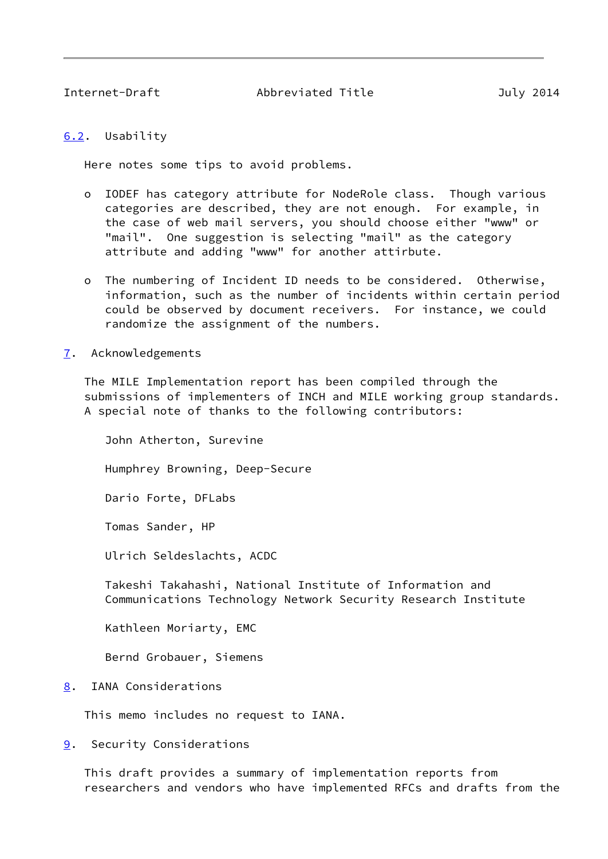<span id="page-9-1"></span>Internet-Draft Abbreviated Title July 2014

## <span id="page-9-0"></span>[6.2](#page-9-0). Usability

Here notes some tips to avoid problems.

- o IODEF has category attribute for NodeRole class. Though various categories are described, they are not enough. For example, in the case of web mail servers, you should choose either "www" or "mail". One suggestion is selecting "mail" as the category attribute and adding "www" for another attirbute.
- o The numbering of Incident ID needs to be considered. Otherwise, information, such as the number of incidents within certain period could be observed by document receivers. For instance, we could randomize the assignment of the numbers.
- <span id="page-9-2"></span>[7](#page-9-2). Acknowledgements

 The MILE Implementation report has been compiled through the submissions of implementers of INCH and MILE working group standards. A special note of thanks to the following contributors:

John Atherton, Surevine

Humphrey Browning, Deep-Secure

Dario Forte, DFLabs

Tomas Sander, HP

Ulrich Seldeslachts, ACDC

 Takeshi Takahashi, National Institute of Information and Communications Technology Network Security Research Institute

Kathleen Moriarty, EMC

Bernd Grobauer, Siemens

<span id="page-9-3"></span>[8](#page-9-3). IANA Considerations

This memo includes no request to IANA.

<span id="page-9-4"></span>[9](#page-9-4). Security Considerations

 This draft provides a summary of implementation reports from researchers and vendors who have implemented RFCs and drafts from the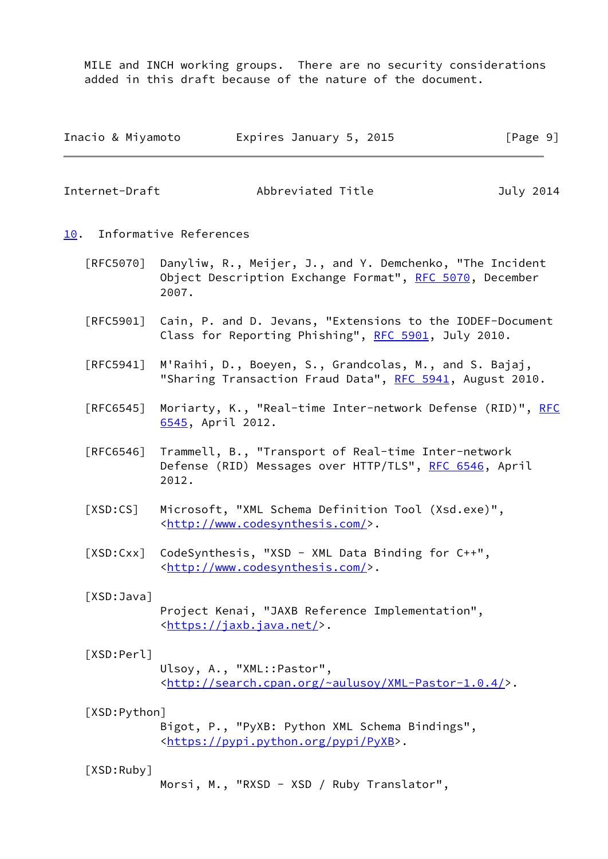MILE and INCH working groups. There are no security considerations added in this draft because of the nature of the document.

| Inacio & Miyamoto | Expires January 5, 2015 | [Page 9] |
|-------------------|-------------------------|----------|
|                   |                         |          |

<span id="page-10-1"></span>Internet-Draft Abbreviated Title July 2014

<span id="page-10-0"></span>[10.](#page-10-0) Informative References

- [RFC5070] Danyliw, R., Meijer, J., and Y. Demchenko, "The Incident Object Description Exchange Format", [RFC 5070](https://datatracker.ietf.org/doc/pdf/rfc5070), December 2007.
- [RFC5901] Cain, P. and D. Jevans, "Extensions to the IODEF-Document Class for Reporting Phishing", [RFC 5901](https://datatracker.ietf.org/doc/pdf/rfc5901), July 2010.
- [RFC5941] M'Raihi, D., Boeyen, S., Grandcolas, M., and S. Bajaj, "Sharing Transaction Fraud Data", [RFC 5941](https://datatracker.ietf.org/doc/pdf/rfc5941), August 2010.
- [RFC6545] Moriarty, K., "Real-time Inter-network Defense (RID)", [RFC](https://datatracker.ietf.org/doc/pdf/rfc6545) [6545,](https://datatracker.ietf.org/doc/pdf/rfc6545) April 2012.
- [RFC6546] Trammell, B., "Transport of Real-time Inter-network Defense (RID) Messages over HTTP/TLS", [RFC 6546](https://datatracker.ietf.org/doc/pdf/rfc6546), April 2012.
- [XSD:CS] Microsoft, "XML Schema Definition Tool (Xsd.exe)", <[http://www.codesynthesis.com/>](http://www.codesynthesis.com/).
- [XSD:Cxx] CodeSynthesis, "XSD XML Data Binding for C++", <[http://www.codesynthesis.com/>](http://www.codesynthesis.com/).

 [XSD:Java] Project Kenai, "JAXB Reference Implementation", <<https://jaxb.java.net/>>.

# [XSD:Perl] Ulsoy, A., "XML::Pastor", <[http://search.cpan.org/~aulusoy/XML-Pastor-1.0.4/>](http://search.cpan.org/~aulusoy/XML-Pastor-1.0.4/).

# [XSD:Python]

 Bigot, P., "PyXB: Python XML Schema Bindings", <[https://pypi.python.org/pypi/PyXB>](https://pypi.python.org/pypi/PyXB).

### [XSD:Ruby]

Morsi, M., "RXSD - XSD / Ruby Translator",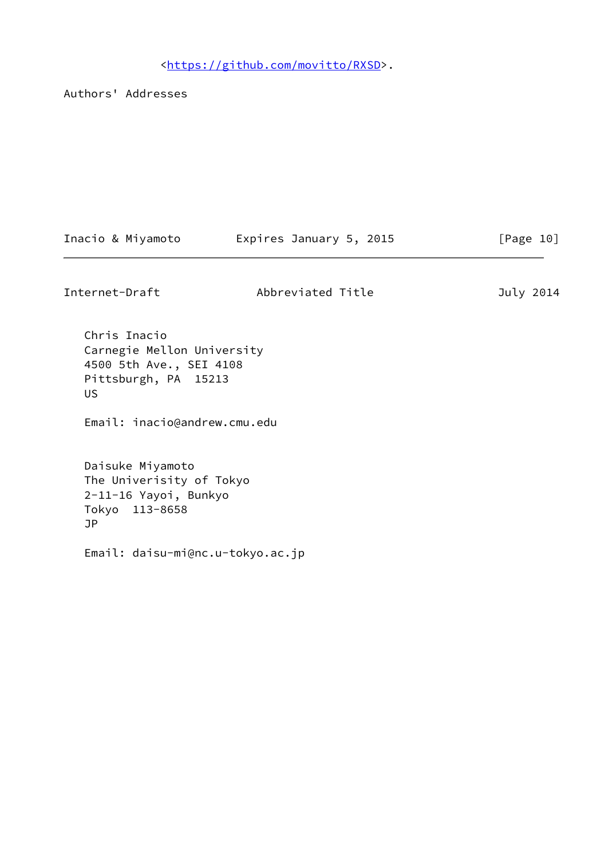<[https://github.com/movitto/RXSD>](https://github.com/movitto/RXSD).

Authors' Addresses

| Inacio & Miyamoto | Expires January 5, 2015 | [Page 10] |
|-------------------|-------------------------|-----------|
|-------------------|-------------------------|-----------|

Internet-Draft Abbreviated Title July 2014

 Chris Inacio Carnegie Mellon University 4500 5th Ave., SEI 4108 Pittsburgh, PA 15213 US

Email: inacio@andrew.cmu.edu

 Daisuke Miyamoto The Univerisity of Tokyo 2-11-16 Yayoi, Bunkyo Tokyo 113-8658 JP

Email: daisu-mi@nc.u-tokyo.ac.jp